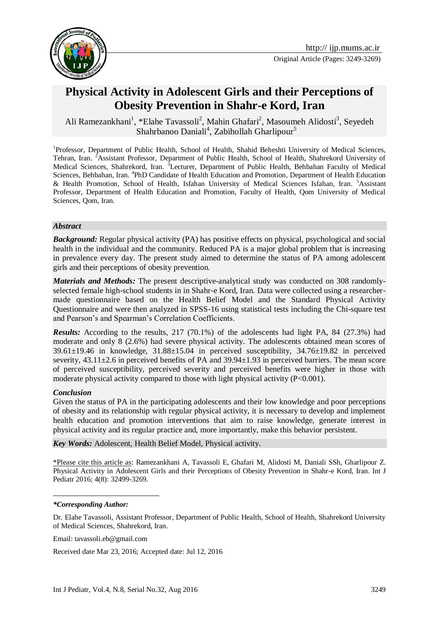



# **Physical Activity in Adolescent Girls and their Perceptions of Obesity Prevention in Shahr-e Kord, Iran**

Ali Ramezankhani<sup>1</sup>, \*Elahe Tavassoli<sup>2</sup>, Mahin Ghafari<sup>2</sup>, Masoumeh Alidosti<sup>3</sup>, Seyedeh Shahrbanoo Daniali<sup>4</sup>, Zabihollah Gharlipour<sup>5</sup>

<sup>1</sup>Professor, Department of Public Health, School of Health, Shahid Beheshti University of Medical Sciences, Tehran, Iran. <sup>2</sup>Assistant Professor, Department of Public Health, School of Health, Shahrekord University of Medical Sciences, Shahrekord, Iran. <sup>3</sup>Lecturer, Department of Public Health, Behbahan Faculty of Medical Sciences, Behbahan, Iran. <sup>4</sup>PhD Candidate of Health Education and Promotion, Department of Health Education & Health Promotion, School of Health, Isfahan University of Medical Sciences Isfahan, Iran. <sup>5</sup>Assistant Professor, Department of Health Education and Promotion, Faculty of Health, Qom University of Medical Sciences, Qom, Iran.

#### *Abstract*

*Background:* Regular physical activity (PA) has positive effects on physical, psychological and social health in the individual and the community. Reduced PA is a major global problem that is increasing in prevalence every day. The present study aimed to determine the status of PA among adolescent girls and their perceptions of obesity prevention.

*Materials and Methods:* The present descriptive-analytical study was conducted on 308 randomlyselected female high-school students in in Shahr-e Kord, Iran. Data were collected using a researchermade questionnaire based on the Health Belief Model and the Standard Physical Activity Questionnaire and were then analyzed in SPSS-16 using statistical tests including the Chi-square test and Pearson's and Spearman's Correlation Coefficients.

*Results:* According to the results, 217 (70.1%) of the adolescents had light PA, 84 (27.3%) had moderate and only 8 (2.6%) had severe physical activity. The adolescents obtained mean scores of  $39.61\pm19.46$  in knowledge,  $31.88\pm15.04$  in perceived susceptibility,  $34.76\pm19.82$  in perceived severity,  $43.11\pm2.6$  in perceived benefits of PA and  $39.94\pm1.93$  in perceived barriers. The mean score of perceived susceptibility, perceived severity and perceived benefits were higher in those with moderate physical activity compared to those with light physical activity (P<0.001).

#### *Conclusion*

Given the status of PA in the participating adolescents and their low knowledge and poor perceptions of obesity and its relationship with regular physical activity, it is necessary to develop and implement health education and promotion interventions that aim to raise knowledge, generate interest in physical activity and its regular practice and, more importantly, make this behavior persistent.

*Key Words:* Adolescent, Health Belief Model, Physical activity.

\*Please cite this article as: Ramezankhani A, Tavassoli E, Ghafari M, Alidosti M, Daniali SSh, Gharlipour Z. Physical Activity in Adolescent Girls and their Perceptions of Obesity Prevention in Shahr-e Kord, Iran. Int J Pediatr 2016; 4(8): 32499-3269.

<u>.</u>

Email: tavassoli.eb@gmail.com

Received date Mar 23, 2016; Accepted date: Jul 12, 2016

*<sup>\*</sup>Corresponding Author:*

Dr. Elahe Tavassoli, Assistant Professor, Department of Public Health, School of Health, Shahrekord University of Medical Sciences, Shahrekord, Iran.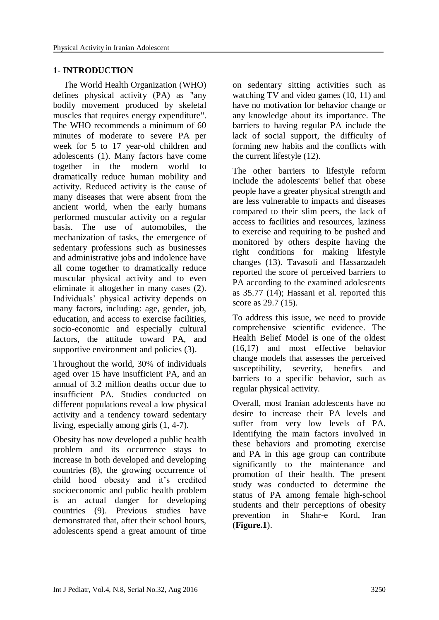### **1- INTRODUCTION**

The World Health Organization (WHO) defines physical activity (PA) as "any bodily movement produced by skeletal muscles that requires energy expenditure". The WHO recommends a minimum of 60 minutes of moderate to severe PA per week for 5 to 17 year-old children and adolescents (1). Many factors have come together in the modern world to dramatically reduce human mobility and activity. Reduced activity is the cause of many diseases that were absent from the ancient world, when the early humans performed muscular activity on a regular basis. The use of automobiles, the mechanization of tasks, the emergence of sedentary professions such as businesses and administrative jobs and indolence have all come together to dramatically reduce muscular physical activity and to even eliminate it altogether in many cases (2). Individuals' physical activity depends on many factors, including: age, gender, job, education, and access to exercise facilities, socio-economic and especially cultural factors, the attitude toward PA, and supportive environment and policies  $(3)$ .

Throughout the world, 30% of individuals aged over 15 have insufficient PA, and an annual of 3.2 million deaths occur due to insufficient PA. Studies conducted on different populations reveal a low physical activity and a tendency toward sedentary living, especially among girls (1, 4-7).

Obesity has now developed a public health problem and its occurrence stays to increase in both developed and developing countries (8), the growing occurrence of child hood obesity and it's credited socioeconomic and public health problem is an actual danger for developing countries (9). Previous studies have demonstrated that, after their school hours, adolescents spend a great amount of time

on sedentary sitting activities such as watching TV and video games (10, 11) and have no motivation for behavior change or any knowledge about its importance. The barriers to having regular PA include the lack of social support, the difficulty of forming new habits and the conflicts with the current lifestyle (12).

The other barriers to lifestyle reform include the adolescents' belief that obese people have a greater physical strength and are less vulnerable to impacts and diseases compared to their slim peers, the lack of access to facilities and resources, laziness to exercise and requiring to be pushed and monitored by others despite having the right conditions for making lifestyle changes (13). Tavasoli and Hassanzadeh reported the score of perceived barriers to PA according to the examined adolescents as 35.77 (14); Hassani et al. reported this score as 29.7 (15).

To address this issue, we need to provide comprehensive scientific evidence. The Health Belief Model is one of the oldest (16,17) and most effective behavior change models that assesses the perceived susceptibility, severity, benefits and barriers to a specific behavior, such as regular physical activity.

Overall, most Iranian adolescents have no desire to increase their PA levels and suffer from very low levels of PA. Identifying the main factors involved in these behaviors and promoting exercise and PA in this age group can contribute significantly to the maintenance and promotion of their health. The present study was conducted to determine the status of PA among female high-school students and their perceptions of obesity prevention in Shahr-e Kord, Iran (**Figure.1**).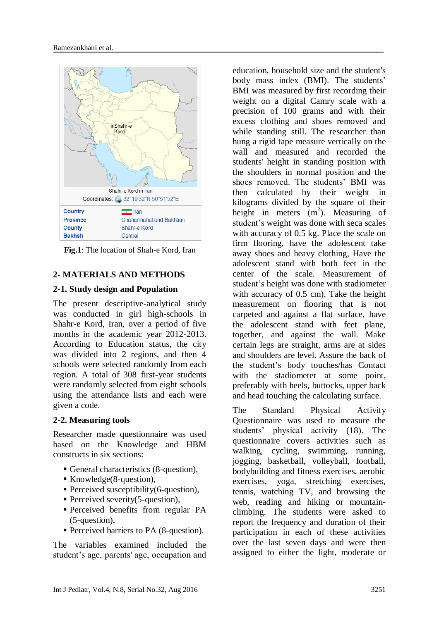

**Fig.1**: The location of Shah-e Kord, Iran

#### **2- MATERIALS AND METHODS**

#### **2-1. Study design and Population**

The present descriptive-analytical study was conducted in girl high-schools in Shahr-e Kord, Iran, over a period of five months in the academic year 2012-2013. According to Education status, the city was divided into 2 regions, and then 4 schools were selected randomly from each region. A total of 308 first-year students were randomly selected from eight schools using the attendance lists and each were given a code.

#### **2-2. Measuring tools**

Researcher made questionnaire was used based on the Knowledge and HBM constructs in six sections:

- General characteristics (8-question),
- Knowledge(8-question),
- **Perceived susceptibility(6-question),**
- **Perceived severity(5-question),**
- Perceived benefits from regular PA (5-question),
- Perceived barriers to PA (8-question).

The variables examined included the student's age, parents' age, occupation and

education, household size and the student's body mass index (BMI). The students' BMI was measured by first recording their weight on a digital Camry scale with a precision of 100 grams and with their excess clothing and shoes removed and while standing still. The researcher than hung a rigid tape measure vertically on the wall and measured and recorded the students' height in standing position with the shoulders in normal position and the shoes removed. The students' BMI was then calculated by their weight in kilograms divided by the square of their height in meters (m<sup>2</sup>). Measuring of student's weight was done with seca scales with accuracy of 0.5 kg. Place the scale on firm flooring, have the adolescent take away shoes and heavy clothing, Have the adolescent stand with both feet in the center of the scale. Measurement of student's height was done with stadiometer with accuracy of 0.5 cm). Take the height measurement on flooring that is not carpeted and against a flat surface, have the adolescent stand with feet plane, together, and against the wall. Make certain legs are straight, arms are at sides and shoulders are level. Assure the back of the student's body touches/has Contact with the stadiometer at some point. preferably with heels, buttocks, upper back and head touching the calculating surface.

The Standard Physical Activity Questionnaire was used to measure the students' physical activity (18). The questionnaire covers activities such as walking, cycling, swimming, running, jogging, basketball, volleyball, football, bodybuilding and fitness exercises, aerobic exercises, yoga, stretching exercises, tennis, watching TV, and browsing the web, reading and hiking or mountainclimbing. The students were asked to report the frequency and duration of their participation in each of these activities over the last seven days and were then assigned to either the light, moderate or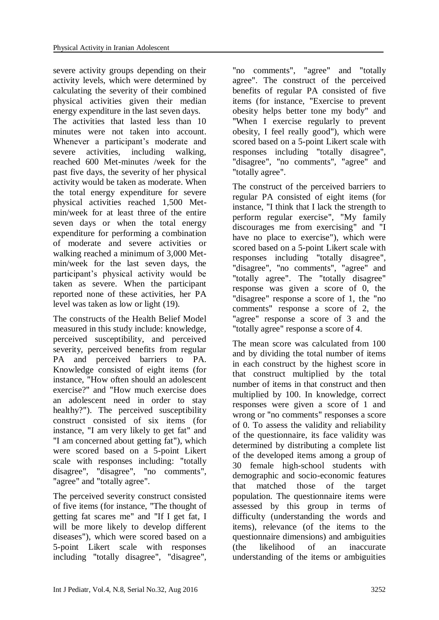severe activity groups depending on their activity levels, which were determined by calculating the severity of their combined physical activities given their median energy expenditure in the last seven days.

The activities that lasted less than 10 minutes were not taken into account. Whenever a participant's moderate and severe activities, including walking, reached 600 Met-minutes /week for the past five days, the severity of her physical activity would be taken as moderate. When the total energy expenditure for severe physical activities reached 1,500 Metmin/week for at least three of the entire seven days or when the total energy expenditure for performing a combination of moderate and severe activities or walking reached a minimum of 3,000 Metmin/week for the last seven days, the participant's physical activity would be taken as severe. When the participant reported none of these activities, her PA level was taken as low or light (19).

The constructs of the Health Belief Model measured in this study include: knowledge, perceived susceptibility, and perceived severity, perceived benefits from regular PA and perceived barriers to PA. Knowledge consisted of eight items (for instance, "How often should an adolescent exercise?" and "How much exercise does an adolescent need in order to stay healthy?"). The perceived susceptibility construct consisted of six items (for instance, "I am very likely to get fat" and "I am concerned about getting fat"), which were scored based on a 5-point Likert scale with responses including: "totally disagree", "disagree", "no comments", "agree" and "totally agree".

The perceived severity construct consisted of five items (for instance, "The thought of getting fat scares me" and "If I get fat, I will be more likely to develop different diseases"), which were scored based on a 5-point Likert scale with responses including "totally disagree", "disagree",

"no comments", "agree" and "totally agree". The construct of the perceived benefits of regular PA consisted of five items (for instance, "Exercise to prevent obesity helps better tone my body" and "When I exercise regularly to prevent obesity, I feel really good"), which were scored based on a 5-point Likert scale with responses including "totally disagree", "disagree", "no comments", "agree" and "totally agree".

The construct of the perceived barriers to regular PA consisted of eight items (for instance, "I think that I lack the strength to perform regular exercise", "My family discourages me from exercising" and "I have no place to exercise"), which were scored based on a 5-point Likert scale with responses including "totally disagree", "disagree", "no comments", "agree" and "totally agree". The "totally disagree" response was given a score of 0, the "disagree" response a score of 1, the "no comments" response a score of 2, the "agree" response a score of 3 and the "totally agree" response a score of 4.

The mean score was calculated from 100 and by dividing the total number of items in each construct by the highest score in that construct multiplied by the total number of items in that construct and then multiplied by 100. In knowledge, correct responses were given a score of 1 and wrong or "no comments" responses a score of 0. To assess the validity and reliability of the questionnaire, its face validity was determined by distributing a complete list of the developed items among a group of 30 female high-school students with demographic and socio-economic features that matched those of the target population. The questionnaire items were assessed by this group in terms of difficulty (understanding the words and items), relevance (of the items to the questionnaire dimensions) and ambiguities (the likelihood of an inaccurate understanding of the items or ambiguities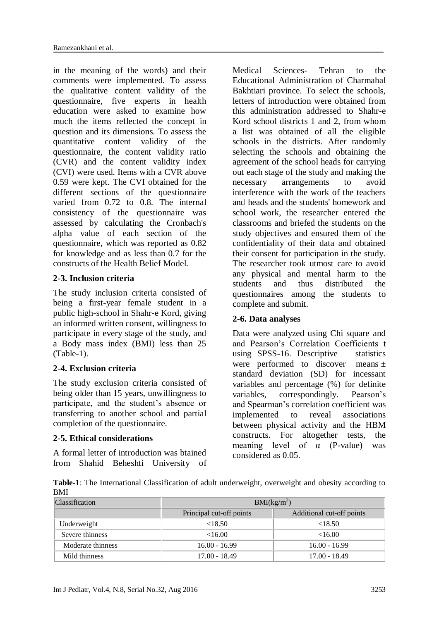in the meaning of the words) and their comments were implemented. To assess the qualitative content validity of the questionnaire, five experts in health education were asked to examine how much the items reflected the concept in question and its dimensions. To assess the quantitative content validity of the questionnaire, the content validity ratio (CVR) and the content validity index (CVI) were used. Items with a CVR above 0.59 were kept. The CVI obtained for the different sections of the questionnaire varied from 0.72 to 0.8. The internal consistency of the questionnaire was assessed by calculating the Cronbach's alpha value of each section of the questionnaire, which was reported as 0.82 for knowledge and as less than 0.7 for the constructs of the Health Belief Model.

#### **2-3. Inclusion criteria**

The study inclusion criteria consisted of being a first-year female student in a public high-school in Shahr-e Kord, giving an informed written consent, willingness to participate in every stage of the study, and a Body mass index (BMI) less than 25 (Table-1).

#### **2-4. Exclusion criteria**

The study exclusion criteria consisted of being older than 15 years, unwillingness to participate, and the student's absence or transferring to another school and partial completion of the questionnaire.

#### **2-5. Ethical considerations**

A formal letter of introduction was btained from Shahid Beheshti University of Medical Sciences- Tehran to the Educational Administration of Charmahal Bakhtiari province. To select the schools, letters of introduction were obtained from this administration addressed to Shahr-e Kord school districts 1 and 2, from whom a list was obtained of all the eligible schools in the districts. After randomly selecting the schools and obtaining the agreement of the school heads for carrying out each stage of the study and making the necessary arrangements to avoid interference with the work of the teachers and heads and the students' homework and school work, the researcher entered the classrooms and briefed the students on the study objectives and ensured them of the confidentiality of their data and obtained their consent for participation in the study. The researcher took utmost care to avoid any physical and mental harm to the students and thus distributed the questionnaires among the students to complete and submit.

#### **2-6. Data analyses**

Data were analyzed using Chi square and and Pearson's Correlation Coefficients t using SPSS-16. Descriptive statistics were performed to discover means  $\pm$ standard deviation (SD) for incessant variables and percentage (%) for definite variables, correspondingly. Pearson's and Spearman's correlation coefficient was implemented to reveal associations between physical activity and the HBM constructs. For altogether tests, the meaning level of  $\alpha$  (P-value) was considered as 0.05.

**Table-1**: The International Classification of adult underweight, overweight and obesity according to BMI

| <b>Classification</b> | BMI(kg/m <sup>2</sup> )                               |                 |  |  |  |
|-----------------------|-------------------------------------------------------|-----------------|--|--|--|
|                       | Principal cut-off points<br>Additional cut-off points |                 |  |  |  |
| Underweight           | <18.50                                                | < 18.50         |  |  |  |
| Severe thinness       | <16.00                                                | <16.00          |  |  |  |
| Moderate thinness     | $16.00 - 16.99$                                       | $16.00 - 16.99$ |  |  |  |
| Mild thinness         | $17.00 - 18.49$                                       | $17.00 - 18.49$ |  |  |  |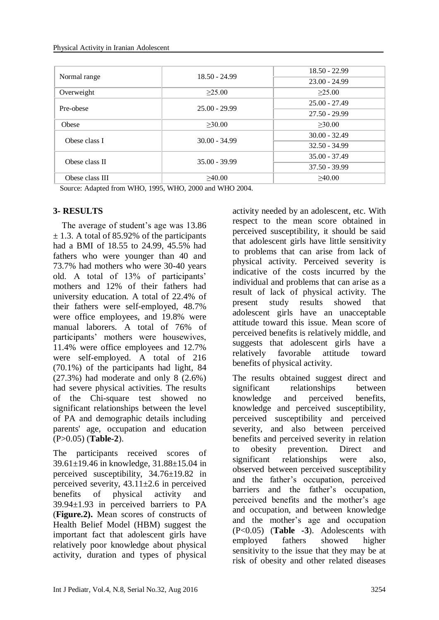|                 | $18.50 - 24.99$ | $18.50 - 22.99$ |  |  |  |
|-----------------|-----------------|-----------------|--|--|--|
| Normal range    |                 | $23.00 - 24.99$ |  |  |  |
| Overweight      | $\geq 25.00$    | >25.00          |  |  |  |
| Pre-obese       | $25.00 - 29.99$ | $25.00 - 27.49$ |  |  |  |
|                 |                 | $27.50 - 29.99$ |  |  |  |
| Obese           | $\geq 30.00$    | >30.00          |  |  |  |
| Obese class I   | $30.00 - 34.99$ | $30.00 - 32.49$ |  |  |  |
|                 |                 | $32.50 - 34.99$ |  |  |  |
| Obese class II  | $35.00 - 39.99$ | $35.00 - 37.49$ |  |  |  |
|                 |                 | $37.50 - 39.99$ |  |  |  |
| Obese class III | >40.00          | >40.00          |  |  |  |

Source: Adapted from WHO, 1995, WHO, 2000 and WHO 2004.

# **3- RESULTS**

 The average of student's age was 13.86  $\pm$  1.3. A total of 85.92% of the participants had a BMI of 18.55 to 24.99, 45.5% had fathers who were younger than 40 and 73.7% had mothers who were 30-40 years old. A total of 13% of participants' mothers and 12% of their fathers had university education. A total of 22.4% of their fathers were self-employed, 48.7% were office employees, and 19.8% were manual laborers. A total of 76% of participants' mothers were housewives, 11.4% were office employees and 12.7% were self-employed. A total of 216 (70.1%) of the participants had light, 84 (27.3%) had moderate and only 8 (2.6%) had severe physical activities. The results of the Chi-square test showed no significant relationships between the level of PA and demographic details including parents' age, occupation and education (P>0.05) (**Table-2**).

The participants received scores of 39.61±19.46 in knowledge, 31.88±15.04 in perceived susceptibility, 34.76±19.82 in perceived severity,  $43.11 \pm 2.6$  in perceived benefits of physical activity and 39.94±1.93 in perceived barriers to PA (**Figure.2).** Mean scores of constructs of Health Belief Model (HBM) suggest the important fact that adolescent girls have relatively poor knowledge about physical activity, duration and types of physical

activity needed by an adolescent, etc. With respect to the mean score obtained in perceived susceptibility, it should be said that adolescent girls have little sensitivity to problems that can arise from lack of physical activity. Perceived severity is indicative of the costs incurred by the individual and problems that can arise as a result of lack of physical activity. The present study results showed that adolescent girls have an unacceptable attitude toward this issue. Mean score of perceived benefits is relatively middle, and suggests that adolescent girls have a relatively favorable attitude toward benefits of physical activity.

The results obtained suggest direct and significant relationships between knowledge and perceived benefits, knowledge and perceived susceptibility, perceived susceptibility and perceived severity, and also between perceived benefits and perceived severity in relation to obesity prevention. Direct and significant relationships were also, observed between perceived susceptibility and the father's occupation, perceived barriers and the father's occupation, perceived benefits and the mother's age and occupation, and between knowledge and the mother's age and occupation (P<0.05) (**Table -3**). Adolescents with employed fathers showed higher sensitivity to the issue that they may be at risk of obesity and other related diseases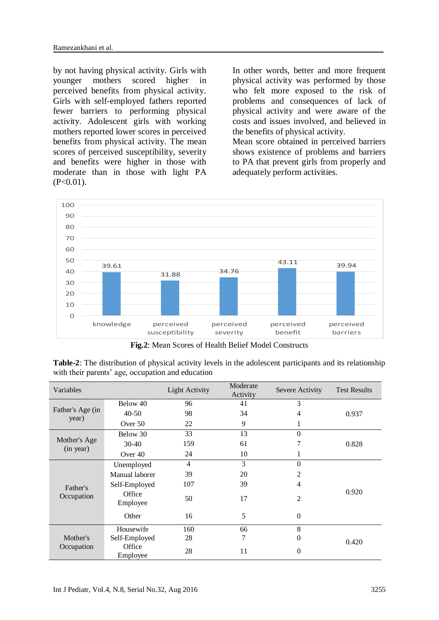by not having physical activity. Girls with younger mothers scored higher in perceived benefits from physical activity. Girls with self-employed fathers reported fewer barriers to performing physical activity. Adolescent girls with working mothers reported lower scores in perceived benefits from physical activity. The mean scores of perceived susceptibility, severity and benefits were higher in those with moderate than in those with light PA  $(P<0.01)$ .

In other words, better and more frequent physical activity was performed by those who felt more exposed to the risk of problems and consequences of lack of physical activity and were aware of the costs and issues involved, and believed in the benefits of physical activity.

Mean score obtained in perceived barriers shows existence of problems and barriers to PA that prevent girls from properly and adequately perform activities.



**Fig.2**: Mean Scores of Health Belief Model Constructs

**Table-2**: The distribution of physical activity levels in the adolescent participants and its relationship with their parents' age, occupation and education

| Variables                 |                    | <b>Light Activity</b> | Moderate<br>Activity | Severe Activity | <b>Test Results</b> |
|---------------------------|--------------------|-----------------------|----------------------|-----------------|---------------------|
| Father's Age (in<br>year) | Below 40           | 96                    | 41                   | 3               |                     |
|                           | $40 - 50$          | 98                    | 34                   | 4               | 0.937               |
|                           | Over 50            | 22                    | 9                    |                 |                     |
|                           | Below 30           | 33                    | 13                   | $\theta$        |                     |
| Mother's Age<br>(in year) | $30-40$            | 159                   | 61                   | 7               | 0.828               |
|                           | Over 40            | 24                    | 10                   |                 |                     |
|                           | Unemployed         | $\overline{4}$        | 3                    | $\Omega$        |                     |
|                           | Manual laborer     | 39                    | 20                   | 2               |                     |
| Father's<br>Occupation    | Self-Employed      | 107                   | 39                   | $\overline{4}$  |                     |
|                           | Office<br>Employee | 50                    | 17                   | $\overline{2}$  | 0.920               |
|                           | Other              | 16                    | 5                    | $\mathbf{0}$    |                     |
| Mother's<br>Occupation    | Housewife          | 160                   | 66                   | 8               |                     |
|                           | Self-Employed      | 28                    | 7                    | 0               | 0.420               |
|                           | Office<br>Employee | 28                    | 11                   | $\theta$        |                     |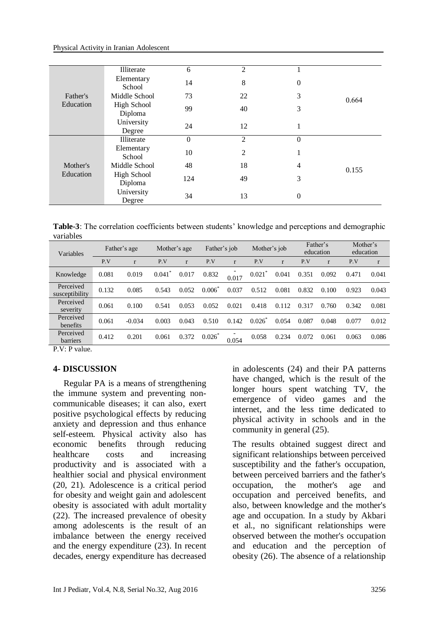Physical Activity in Iranian Adolescent

|                       | Illiterate                    | 6        | $\overline{2}$ |                  |       |  |
|-----------------------|-------------------------------|----------|----------------|------------------|-------|--|
|                       | Elementary<br>School          | 14       | 8              | 0                |       |  |
| Father's              | Middle School                 | 73       | 22             | 3                | 0.664 |  |
| Education             | <b>High School</b><br>Diploma | 99       | 40             | 3                |       |  |
|                       | University<br>Degree          | 24       | 12             | 1                |       |  |
| Mother's<br>Education | Illiterate                    | $\theta$ | $\overline{2}$ | $\boldsymbol{0}$ |       |  |
|                       | Elementary<br>School          | 10       | 2              |                  |       |  |
|                       | Middle School                 | 48       | 18             | 4                | 0.155 |  |
|                       | <b>High School</b><br>Diploma | 124      | 49             | 3                |       |  |
|                       | University<br>Degree          | 34       | 13             | $\overline{0}$   |       |  |

| <b>Table-3</b> : The correlation coefficients between students' knowledge and perceptions and demographic |  |
|-----------------------------------------------------------------------------------------------------------|--|
| variables                                                                                                 |  |

| Variables                   | Father's age |          | Mother's age |              | Father's job |              | Mother's job      |       | Father's<br>education |       | Mother's<br>education |       |
|-----------------------------|--------------|----------|--------------|--------------|--------------|--------------|-------------------|-------|-----------------------|-------|-----------------------|-------|
|                             | P.V          | r        | P.V          | $\mathbf{r}$ | P.V          | $\mathbf{r}$ | P.V               | r     | P.V                   |       | P.V                   | r     |
| Knowledge                   | 0.081        | 0.019    | 0.041        | 0.017        | 0.832        | 0.017        | $0.021^{\degree}$ | 0.041 | 0.351                 | 0.092 | 0.471                 | 0.041 |
| Perceived<br>susceptibility | 0.132        | 0.085    | 0.543        | 0.052        | 0.006        | 0.037        | 0.512             | 0.081 | 0.832                 | 0.100 | 0.923                 | 0.043 |
| Perceived<br>severity       | 0.061        | 0.100    | 0.541        | 0.053        | 0.052        | 0.021        | 0.418             | 0.112 | 0.317                 | 0.760 | 0.342                 | 0.081 |
| Perceived<br>benefits       | 0.061        | $-0.034$ | 0.003        | 0.043        | 0.510        | 0.142        | 0.026             | 0.054 | 0.087                 | 0.048 | 0.077                 | 0.012 |
| Perceived<br>barriers       | 0.412        | 0.201    | 0.061        | 0.372        | 0.026        | 0.054        | 0.058             | 0.234 | 0.072                 | 0.061 | 0.063                 | 0.086 |

P.V: P value.

#### **4- DISCUSSION**

Regular PA is a means of strengthening the immune system and preventing noncommunicable diseases; it can also, exert positive psychological effects by reducing anxiety and depression and thus enhance self-esteem. Physical activity also has economic benefits through reducing healthcare costs and increasing productivity and is associated with a healthier social and physical environment (20, 21). Adolescence is a critical period for obesity and weight gain and adolescent obesity is associated with adult mortality (22). The increased prevalence of obesity among adolescents is the result of an imbalance between the energy received and the energy expenditure (23). In recent decades, energy expenditure has decreased in adolescents (24) and their PA patterns have changed, which is the result of the longer hours spent watching TV, the emergence of video games and the internet, and the less time dedicated to physical activity in schools and in the community in general (25).

The results obtained suggest direct and significant relationships between perceived susceptibility and the father's occupation, between perceived barriers and the father's occupation, the mother's age and occupation and perceived benefits, and also, between knowledge and the mother's age and occupation. In a study by Akbari et al., no significant relationships were observed between the mother's occupation and education and the perception of obesity (26). The absence of a relationship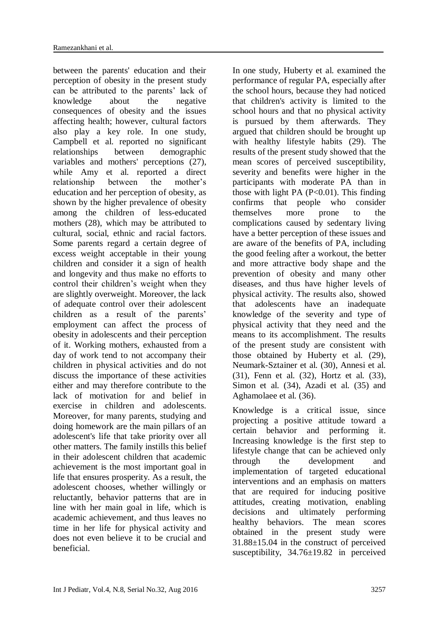between the parents' education and their perception of obesity in the present study can be attributed to the parents' lack of knowledge about the negative consequences of obesity and the issues affecting health; however, cultural factors also play a key role. In one study, Campbell et al. reported no significant relationships between demographic variables and mothers' perceptions (27), while Amy et al. reported a direct relationship between the mother's education and her perception of obesity, as shown by the higher prevalence of obesity among the children of less-educated mothers (28), which may be attributed to cultural, social, ethnic and racial factors. Some parents regard a certain degree of excess weight acceptable in their young children and consider it a sign of health and longevity and thus make no efforts to control their children's weight when they are slightly overweight. Moreover, the lack of adequate control over their adolescent children as a result of the parents' employment can affect the process of obesity in adolescents and their perception of it. Working mothers, exhausted from a day of work tend to not accompany their children in physical activities and do not discuss the importance of these activities either and may therefore contribute to the lack of motivation for and belief in exercise in children and adolescents. Moreover, for many parents, studying and doing homework are the main pillars of an adolescent's life that take priority over all other matters. The family instills this belief in their adolescent children that academic achievement is the most important goal in life that ensures prosperity. As a result, the adolescent chooses, whether willingly or reluctantly, behavior patterns that are in line with her main goal in life, which is academic achievement, and thus leaves no time in her life for physical activity and does not even believe it to be crucial and beneficial.

In one study, Huberty et al. examined the performance of regular PA, especially after the school hours, because they had noticed that children's activity is limited to the school hours and that no physical activity is pursued by them afterwards. They argued that children should be brought up with healthy lifestyle habits (29). The results of the present study showed that the mean scores of perceived susceptibility, severity and benefits were higher in the participants with moderate PA than in those with light PA  $(P<0.01)$ . This finding confirms that people who consider themselves more prone to the complications caused by sedentary living have a better perception of these issues and are aware of the benefits of PA, including the good feeling after a workout, the better and more attractive body shape and the prevention of obesity and many other diseases, and thus have higher levels of physical activity. The results also, showed that adolescents have an inadequate knowledge of the severity and type of physical activity that they need and the means to its accomplishment. The results of the present study are consistent with those obtained by Huberty et al. (29), Neumark-Sztainer et al. (30), Annesi et al. (31), Fenn et al. (32), Hortz et al. (33), Simon et al. (34), Azadi et al. (35) and Aghamolaee et al. (36).

Knowledge is a critical issue, since projecting a positive attitude toward a certain behavior and performing it. Increasing knowledge is the first step to lifestyle change that can be achieved only through the development and implementation of targeted educational interventions and an emphasis on matters that are required for inducing positive attitudes, creating motivation, enabling decisions and ultimately performing healthy behaviors. The mean scores obtained in the present study were 31.88±15.04 in the construct of perceived susceptibility, 34.76±19.82 in perceived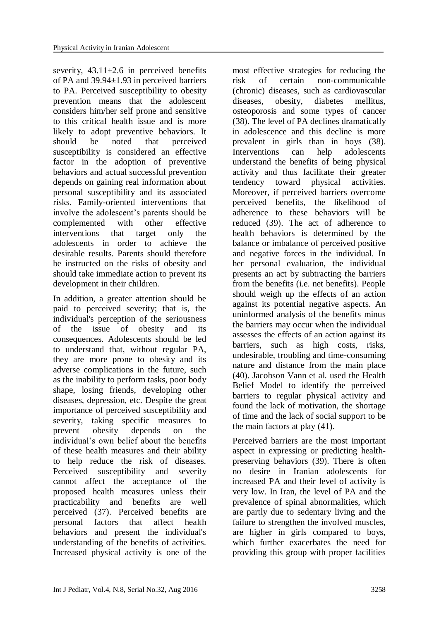severity,  $43.11 \pm 2.6$  in perceived benefits of PA and 39.94±1.93 in perceived barriers to PA. Perceived susceptibility to obesity prevention means that the adolescent considers him/her self prone and sensitive to this critical health issue and is more likely to adopt preventive behaviors. It should be noted that perceived susceptibility is considered an effective factor in the adoption of preventive behaviors and actual successful prevention depends on gaining real information about personal susceptibility and its associated risks. Family-oriented interventions that involve the adolescent's parents should be complemented with other effective interventions that target only the adolescents in order to achieve the desirable results. Parents should therefore be instructed on the risks of obesity and should take immediate action to prevent its development in their children.

In addition, a greater attention should be paid to perceived severity; that is, the individual's perception of the seriousness of the issue of obesity and its consequences. Adolescents should be led to understand that, without regular PA, they are more prone to obesity and its adverse complications in the future, such as the inability to perform tasks, poor body shape, losing friends, developing other diseases, depression, etc. Despite the great importance of perceived susceptibility and severity, taking specific measures to prevent obesity depends on the individual's own belief about the benefits of these health measures and their ability to help reduce the risk of diseases. Perceived susceptibility and severity cannot affect the acceptance of the proposed health measures unless their practicability and benefits are well perceived (37). Perceived benefits are personal factors that affect health behaviors and present the individual's understanding of the benefits of activities. Increased physical activity is one of the

most effective strategies for reducing the risk of certain non-communicable (chronic) diseases, such as cardiovascular diseases, obesity, diabetes mellitus, osteoporosis and some types of cancer (38). The level of PA declines dramatically in adolescence and this decline is more prevalent in girls than in boys (38). Interventions can help adolescents understand the benefits of being physical activity and thus facilitate their greater tendency toward physical activities. Moreover, if perceived barriers overcome perceived benefits, the likelihood of adherence to these behaviors will be reduced (39). The act of adherence to health behaviors is determined by the balance or imbalance of perceived positive and negative forces in the individual. In her personal evaluation, the individual presents an act by subtracting the barriers from the benefits (i.e. net benefits). People should weigh up the effects of an action against its potential negative aspects. An uninformed analysis of the benefits minus the barriers may occur when the individual assesses the effects of an action against its barriers, such as high costs, risks, undesirable, troubling and time-consuming nature and distance from the main place (40). Jacobson Vann et al. used the Health Belief Model to identify the perceived barriers to regular physical activity and found the lack of motivation, the shortage of time and the lack of social support to be the main factors at play (41).

Perceived barriers are the most important aspect in expressing or predicting healthpreserving behaviors (39). There is often no desire in Iranian adolescents for increased PA and their level of activity is very low. In Iran, the level of PA and the prevalence of spinal abnormalities, which are partly due to sedentary living and the failure to strengthen the involved muscles, are higher in girls compared to boys, which further exacerbates the need for providing this group with proper facilities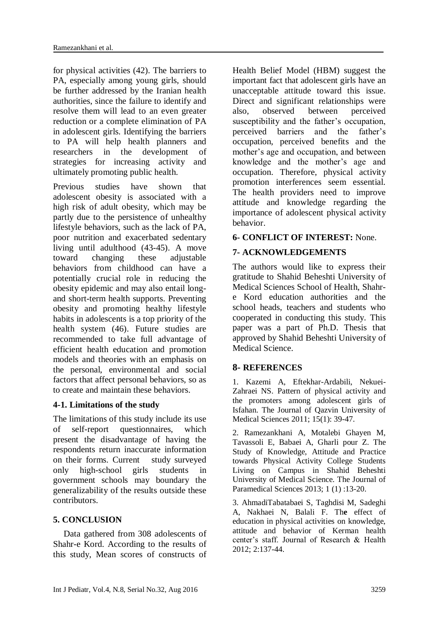for physical activities (42). The barriers to PA, especially among young girls, should be further addressed by the Iranian health authorities, since the failure to identify and resolve them will lead to an even greater reduction or a complete elimination of PA in adolescent girls. Identifying the barriers to PA will help health planners and researchers in the development of strategies for increasing activity and ultimately promoting public health.

Previous studies have shown that adolescent obesity is associated with a high risk of adult obesity, which may be partly due to the persistence of unhealthy lifestyle behaviors, such as the lack of PA, poor nutrition and exacerbated sedentary living until adulthood (43-45). A move toward changing these adjustable behaviors from childhood can have a potentially crucial role in reducing the obesity epidemic and may also entail longand short-term health supports. Preventing obesity and promoting healthy lifestyle habits in adolescents is a top priority of the health system (46). Future studies are recommended to take full advantage of efficient health education and promotion models and theories with an emphasis on the personal, environmental and social factors that affect personal behaviors, so as to create and maintain these behaviors.

# **4-1. Limitations of the study**

The limitations of this study include its use of self-report questionnaires, which present the disadvantage of having the respondents return inaccurate information on their forms. Current study surveyed only high-school girls students in government schools may boundary the generalizability of the results outside these contributors.

# **5. CONCLUSION**

Data gathered from 308 adolescents of Shahr-e Kord. According to the results of this study, Mean scores of constructs of

Health Belief Model (HBM) suggest the important fact that adolescent girls have an unacceptable attitude toward this issue. Direct and significant relationships were also, observed between perceived susceptibility and the father's occupation, perceived barriers and the father's occupation, perceived benefits and the mother's age and occupation, and between knowledge and the mother's age and occupation. Therefore, physical activity promotion interferences seem essential. The health providers need to improve attitude and knowledge regarding the importance of adolescent physical activity behavior.

# **6- CONFLICT OF INTEREST:** None.

# **7- ACKNOWLEDGEMENTS**

The authors would like to express their gratitude to Shahid Beheshti University of Medical Sciences School of Health, Shahre Kord education authorities and the school heads, teachers and students who cooperated in conducting this study. This paper was a part of Ph.D. Thesis that approved by Shahid Beheshti University of Medical Science.

# **8- REFERENCES**

1. Kazemi A, Eftekhar-Ardabili, Nekuei-Zahraei NS. Pattern of physical activity and the promoters among adolescent girls of Isfahan. The Journal of Qazvin University of Medical Sciences 2011; 15(1): 39-47.

2. Ramezankhani A, Motalebi Ghayen M, Tavassoli E, Babaei A, Gharli pour Z. The Study of Knowledge, Attitude and Practice towards Physical Activity College Students Living on Campus in Shahid Beheshti University of Medical Science. The Journal of Paramedical Sciences 2013; 1 (1) :13-20.

3. AhmadiTabatabaei S, Taghdisi M, Sadeghi A, Nakhaei N, Balali F. Th**e** effect of education in physical activities on knowledge, attitude and behavior of Kerman health center's staff. Journal of Research & Health 2012; 2:137-44.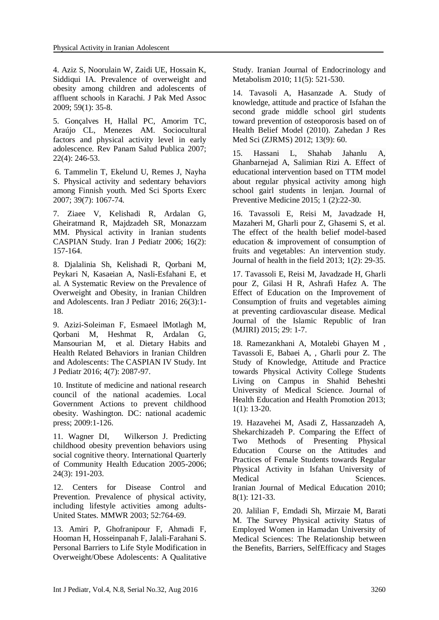4. Aziz S, Noorulain W, Zaidi UE, Hossain K, Siddiqui IA. Prevalence of overweight and obesity among children and adolescents of affluent schools in Karachi. J Pak Med Assoc 2009; 59(1): 35-8.

5. Gonçalves H, Hallal PC, Amorim TC, Araújo CL, Menezes AM. Sociocultural factors and physical activity level in early adolescence. Rev Panam Salud Publica 2007; 22(4): 246-53.

6. Tammelin T, Ekelund U, Remes J, Nayha S. Physical activity and sedentary behaviors among Finnish youth. Med Sci Sports Exerc 2007; 39(7): 1067-74.

7. Ziaee V, Kelishadi R, Ardalan G, Gheiratmand R, Majdzadeh SR, Monazzam MM. Physical activity in Iranian students CASPIAN Study. Iran J Pediatr 2006; 16(2): 157-164.

8. Djalalinia Sh, Kelishadi R, Qorbani M, Peykari N, Kasaeian A, Nasli-Esfahani E, et al. A Systematic Review on the Prevalence of Overweight and Obesity, in Iranian Children and Adolescents. Iran J Pediatr 2016; 26(3):1- 18.

9. Azizi-Soleiman F, Esmaeel lMotlagh M, Qorbani M, Heshmat R, Ardalan G, Mansourian M, et al. Dietary Habits and Health Related Behaviors in Iranian Children and Adolescents: The CASPIAN IV Study. Int J Pediatr 2016; 4(7): 2087-97.

10. Institute of medicine and national research council of the national academies. Local Government Actions to prevent childhood obesity. Washington. DC: national academic press; 2009:1-126.

11. Wagner DI, Wilkerson J. Predicting childhood obesity prevention behaviors using social cognitive theory. International Quarterly of Community Health Education 2005-2006; 24(3): 191-203.

12. Centers for Disease Control and Prevention. Prevalence of physical activity, including lifestyle activities among adults-United States. MMWR 2003; 52:764-69.

13. Amiri P, Ghofranipour F, Ahmadi F, Hooman H, Hosseinpanah F, Jalali-Farahani S. Personal Barriers to Life Style Modification in Overweight/Obese Adolescents: A Qualitative Study. Iranian Journal of Endocrinology and Metabolism 2010; 11(5): 521-530.

14. Tavasoli A, Hasanzade A. Study of knowledge, attitude and practice of Isfahan the second grade middle school girl students toward prevention of osteoporosis based on of Health Belief Model (2010). Zahedan J Res Med Sci (ZJRMS) 2012; 13(9): 60.

15. Hassani L, Shahab Jahanlu A, Ghanbarnejad A, Salimian Rizi A. Effect of educational intervention based on TTM model about regular physical activity among high school gairl students in lenjan. Journal of Preventive Medicine 2015; 1 (2):22-30.

16. Tavassoli E, Reisi M, Javadzade H, Mazaheri M, Gharli pour Z, Ghasemi S, et al. The effect of the health belief model-based education & improvement of consumption of fruits and vegetables: An intervention study. Journal of health in the field 2013; 1(2): 29-35.

17. Tavassoli E, Reisi M, Javadzade H, Gharli pour Z, Gilasi H R, Ashrafi Hafez A. The Effect of Education on the Improvement of Consumption of fruits and vegetables aiming at preventing cardiovascular disease. Medical Journal of the Islamic Republic of Iran (MJIRI) 2015; 29: 1-7.

18. Ramezankhani A, Motalebi Ghayen M , Tavassoli E, Babaei A, , Gharli pour Z. The Study of Knowledge, Attitude and Practice towards Physical Activity College Students Living on Campus in Shahid Beheshti University of Medical Science. Journal of Health Education and Health Promotion 2013; 1(1): 13-20.

19. Hazavehei M, Asadi Z, Hassanzadeh A, Shekarchizadeh P. Comparing the Effect of Two Methods of Presenting Physical Education Course on the Attitudes and Practices of Female Students towards Regular Physical Activity in Isfahan University of Medical Sciences. Iranian Journal of Medical Education 2010; 8(1): 121-33.

20. Jalilian F, Emdadi Sh, Mirzaie M, Barati M. The Survey Physical activity Status of Employed Women in Hamadan University of Medical Sciences: The Relationship between the Benefits, Barriers, SelfEfficacy and Stages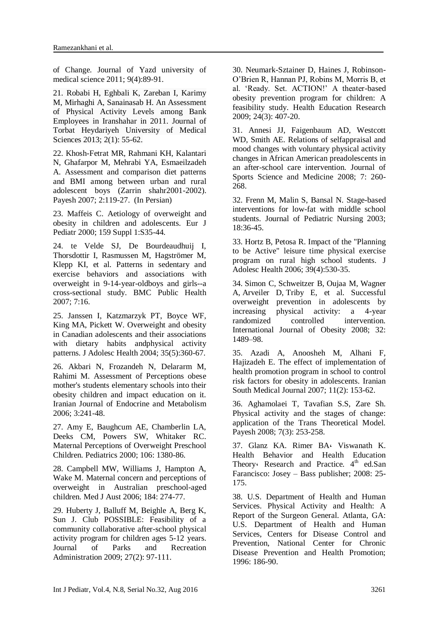of Change. Journal of Yazd university of medical science 2011; 9(4):89-91.

21. Robabi H, Eghbali K, Zareban I, Karimy M, Mirhaghi A, Sanainasab H. An Assessment of Physical Activity Levels among Bank Employees in Iranshahar in 2011. Journal of Torbat Heydariyeh University of Medical Sciences 2013; 2(1): 55-62.

22. Khosh-Fetrat MR, Rahmani KH, Kalantari N, Ghafarpor M, Mehrabi YA, Esmaeilzadeh A. Assessment and comparison diet patterns and BMI among between urban and rural adolescent boys (Zarrin shahr2001-2002). Payesh 2007; 2:119-27. (In Persian)

23. Maffeis C. Aetiology of overweight and obesity in children and adolescents. Eur J Pediatr 2000; 159 Suppl 1:S35-44.

24. te Velde SJ, De Bourdeaudhuij I, Thorsdottir I, Rasmussen M, Hagströmer M, Klepp KI, et al. Patterns in sedentary and exercise behaviors and associations with overweight in 9-14-year-oldboys and girls--a cross-sectional study. BMC Public Health 2007; 7:16.

25. Janssen I, Katzmarzyk PT, Boyce WF, King MA, Pickett W. Overweight and obesity in Canadian adolescents and their associations with dietary habits andphysical activity patterns. J Adolesc Health 2004; 35(5):360-67.

26. Akbari N, Frozandeh N, Delararm M, Rahimi M. Assessment of Perceptions obese mother's students elementary schools into their obesity children and impact education on it. Iranian Journal of Endocrine and Metabolism 2006; 3:241-48.

27. Amy E, Baughcum AE, Chamberlin LA, Deeks CM, Powers SW, Whitaker RC. Maternal Perceptions of Overweight Preschool Children. Pediatrics 2000; 106: 1380-86.

28. Campbell MW, Williams J, Hampton A, Wake M. Maternal concern and perceptions of overweight in Australian preschool-aged children. Med J Aust 2006; 184: 274-77.

29. Huberty J, Balluff M, Beighle A, Berg K, Sun J. Club POSSIBLE: Feasibility of a community collaborative after-school physical activity program for children ages 5-12 years. Journal of Parks and Recreation Administration 2009; 27(2): 97-111.

30. Neumark-Sztainer D, Haines J, Robinson-O'Brien R, Hannan PJ, Robins M, Morris B, et al. 'Ready. Set. ACTION!' A theater-based obesity prevention program for children: A feasibility study. Health Education Research 2009; 24(3): 407-20.

31. Annesi JJ, Faigenbaum AD, Westcott WD, Smith AE. Relations of selfappraisal and mood changes with voluntary physical activity changes in African American preadolescents in an after-school care intervention. Journal of Sports Science and Medicine 2008; 7: 260- 268.

32. Frenn M, Malin S, Bansal N. Stage-based interventions for low-fat with middle school students. Journal of Pediatric Nursing 2003; 18:36-45.

33. Hortz B, Petosa R. Impact of the "Planning to be Active" leisure time physical exercise program on rural high school students. J Adolesc Health 2006; 39(4):530-35.

34. Simon C, Schweitzer B, Oujaa M, Wagner A, Arveiler D, Triby E, et al. Successful overweight prevention in adolescents by increasing physical activity: a 4-year randomized controlled intervention. International Journal of Obesity 2008; 32: 1489–98.

35. Azadi A, Anoosheh M, Alhani F, Hajizadeh E. The effect of implementation of health promotion program in school to control risk factors for obesity in adolescents. Iranian South Medical Journal 2007; 11(2): 153-62.

36. Aghamolaei T, Tavafian S.S, Zare Sh. Physical activity and the stages of change: application of the Trans Theoretical Model. Payesh 2008; 7(3): 253-258.

37. Glanz KA. Rimer BA، Viswanath K. Health Behavior and Health Education Theory: Research and Practice.  $4<sup>th</sup>$  ed.San Farancisco: Josey – Bass publisher; 2008: 25- 175.

38. U.S. Department of Health and Human Services. Physical Activity and Health: A Report of the Surgeon General. Atlanta, GA: U.S. Department of Health and Human Services, Centers for Disease Control and Prevention, National Center for Chronic Disease Prevention and Health Promotion; 1996: 186-90.